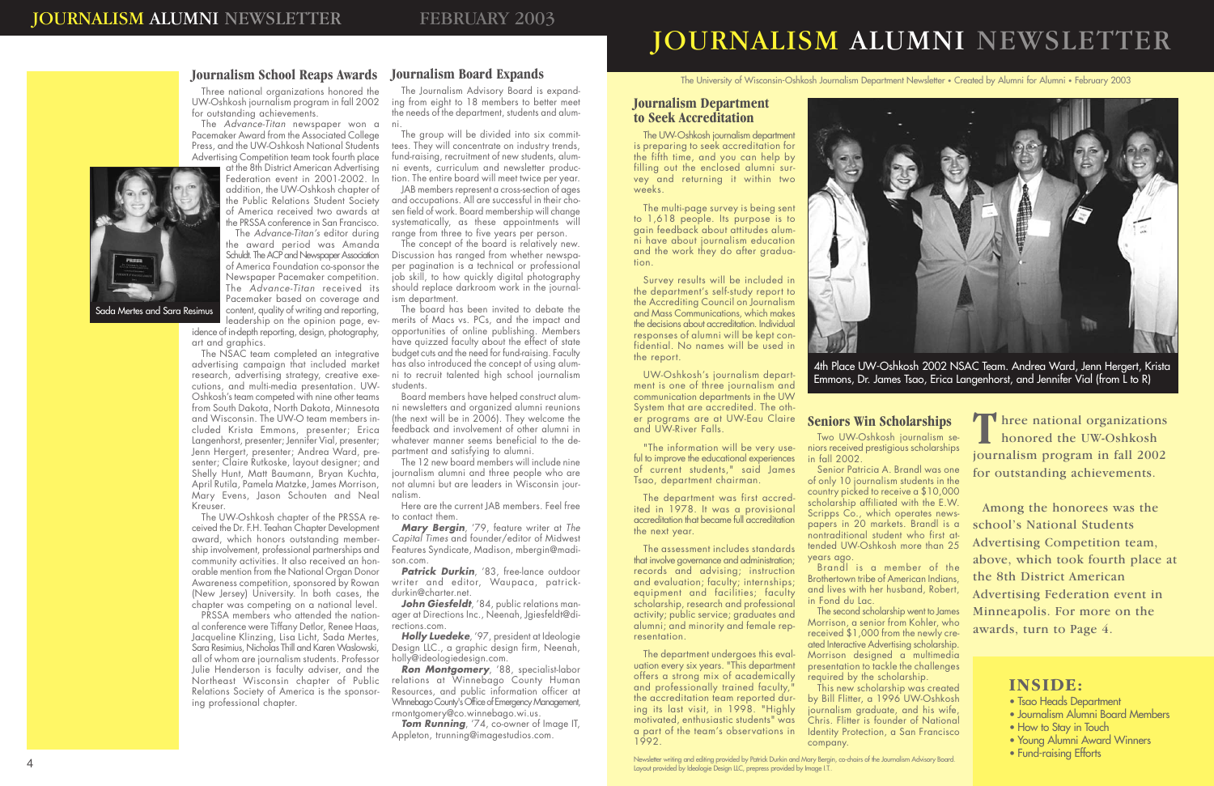## JOURNALISM ALUMNI NEWSLETTER

Newsletter writing and editing provided by Patrick Durkin and Mary Bergin, co-chairs of the Journalism Advisory Board. Layout provided by Ideologie Design LLC, prepress provided by Image I.T..

The University of Wisconsin-Oshkosh Journalism Department Newsletter • Created by Alumni for Alumni • February 2003

The UW-Oshkosh journalism department

is preparing to seek accreditation for the fifth time, and you can help by filling out the enclosed alumni survey and returning it within two weeks.

The multi-page survey is being sent to 1,618 people. Its purpose is to gain feedback about attitudes alumni have about journalism education and the work they do after graduation.

ful to improve the educational experiences of current students," said James Tsao, department chairman.

Survey results will be included in the report.

the department's self-study report to the Accrediting Council on Journalism and Mass Communications, which makes the decisions about accreditation. Individual responses of alumni will be kept confidential. No names will be used in

UW-Oshkosh's journalism depart-

and professionally trained faculty, 1992.

ment is one of three journalism and communication departments in the UW System that are accredited. The other programs are at UW-Eau Claire and UW-River Falls.

"The information will be very use-

The department was first accredited in 1978. It was a provisional accreditation that became full accreditation

> This new scholarship was created by Bill Flitter, a 1996 UW-Oshkosh journalism graduate, and his wife, Chris. Flitter is founder of National Identity Protection, a San Francisco

the next year.

The assessment includes standards

**T** hree national organizations<br>honored the UW-Oshkosh<br>journalism program in fall 2002 honored the UW-Oshkosh journalism program in fall 2002 for outstanding achievements.

that involve governance and administration; records and advising; instruction and evaluation; faculty; internships; equipment and facilities; faculty scholarship, research and professional activity; public service; graduates and alumni; and minority and female representation.

JAB members represent a cross-section of ages and occupations. All are successful in their chosen field of work. Board membership will change systematically, as these appointments will range from three to five years per person.

> The department undergoes this evaluation every six years. "This department offers a strong mix of academically the accreditation team reported during its last visit, in 1998. "Highly motivated, enthusiastic students" was a part of the team's observations in

a Mertes and Sara Resimus

Two UW-Oshkosh journalism seniors received prestigious scholarships

in fall 2002.

Senior Patricia A. Brandl was one of only 10 journalism students in the country picked to receive a \$10,000 scholarship affiliated with the E.W. Scripps Co., which operates newspapers in 20 markets. Brandl is a nontraditional student who first attended UW-Oshkosh more than 25

years ago.

Brandl is a member of the Brothertown tribe of American Indians, and lives with her husband, Robert,

in Fond du Lac.

**Patrick Durkin**, '83, free-lance outdoor writer and editor, Waupaca, patrickdurkin@charter.net.

> The second scholarship went to James Morrison, a senior from Kohler, who received \$1,000 from the newly created Interactive Advertising scholarship.

> Morrison designed a multimedia presentation to tackle the challenges required by the scholarship.

**Tom Running**, '74, co-owner of Image IT, Appleton, trunning@imagestudios.com.

company.

at the 8th District American Advertising Federation event in 2001-2002. In addition, the UW-Oshkosh chapter of the Public Relations Student Society of America received two awards at the PRSSA conference in San Francisco.

> Among the honorees was the school's National Students Advertising Competition team, above, which took fourth place at the 8th District American Advertising Federation event in Minneapolis. For more on the awards, turn to Page 4.

## **INSIDE:**

The Journalism Advisory Board is expanding from eight to 18 members to better meet the needs of the department, students and alumni.

The group will be divided into six committees. They will concentrate on industry trends, fund-raising, recruitment of new students, alumni events, curriculum and newsletter production. The entire board will meet twice per year.

PRSSA members who attended the national conference were Tiffany Detlor, Renee Haas, Jacqueline Klinzing, Lisa Licht, Sada Mertes, Sara Resimius, Nicholas Thill and Karen Waslowski, all of whom are journalism students. Professor Julie Henderson is faculty adviser, and the Northeast Wisconsin chapter of Public Relations Society of America is the sponsoring professional chapter.

The concept of the board is relatively new. Discussion has ranged from whether newspaper pagination is a technical or professional job skill, to how quickly digital photography should replace darkroom work in the journalism department.

The board has been invited to debate the merits of Macs vs. PCs, and the impact and opportunities of online publishing. Members have quizzed faculty about the effect of state budget cuts and the need for fund-raising. Faculty has also introduced the concept of using alumni to recruit talented high school journalism students.

Board members have helped construct alumni newsletters and organized alumni reunions (the next will be in 2006). They welcome the feedback and involvement of other alumni in whatever manner seems beneficial to the department and satisfying to alumni.

The 12 new board members will include nine journalism alumni and three people who are not alumni but are leaders in Wisconsin journalism.

Here are the current JAB members. Feel free to contact them.

*Mary Bergin*, '79, feature writer at *The Capital Times* and founder/editor of Midwest Features Syndicate, Madison, mbergin@madison.com.

*John Giesfeldt*, '84, public relations manager at Directions Inc., Neenah, Jgiesfeldt@directions.com.

*Holly Luedeke*, '97, president at Ideologie Design LLC., a graphic design firm, Neenah, holly@ideologiedesign.com.

*Ron Montgomery*, '88, specialist-labor relations at Winnebago County Human Resources, and public information officer at WInnebago County's Office of Emergency Management, rmontgomery@co.winnebago.wi.us.

Three national organizations honored the UW-Oshkosh journalism program in fall 2002 for outstanding achievements.

The *Advance-Titan* newspaper won a Pacemaker Award from the Associated College Press, and the UW-Oshkosh National Students Advertising Competition team took fourth place

The *Advance-Titan's* editor during the award period was Amanda Schuldt. The ACP and Newspaper Association of America Foundation co-sponsor the Newspaper Pacemaker competition. The *Advance-Titan* received its Pacemaker based on coverage and content, quality of writing and reporting, leadership on the opinion page, evidence of in-depth reporting, design, photography, art and graphics.

The NSAC team completed an integrative advertising campaign that included market research, advertising strategy, creative executions, and multi-media presentation. UW-Oshkosh's team competed with nine other teams from South Dakota, North Dakota, Minnesota and Wisconsin. The UW-O team members included Krista Emmons, presenter; Erica Langenhorst, presenter; Jennifer Vial, presenter; Jenn Hergert, presenter; Andrea Ward, presenter; Claire Rutkoske, layout designer; and Shelly Hunt, Matt Baumann, Bryan Kuchta, April Rutila, Pamela Matzke, James Morrison, Mary Evens, Jason Schouten and Neal Kreuser.

The UW-Oshkosh chapter of the PRSSA received the Dr. F.H. Teahan Chapter Development award, which honors outstanding membership involvement, professional partnerships and community activities. It also received an honorable mention from the National Organ Donor Awareness competition, sponsored by Rowan (New Jersey) University. In both cases, the chapter was competing on a national level.

- Tsao Heads Department
- Journalism Alumni Board Members
- How to Stay in Touch
- Young Alumni Award Winners
- Fund-raising Efforts

4th Place UW-Oshkosh 2002 NSAC Team. Andrea Ward, Jenn Hergert, Krista Emmons, Dr. James Tsao, Erica Langenhorst, and Jennifer Vial (from L to R)

# **Journalism Department**

## **to Seek Accreditation**

### **Seniors Win Scholarships**

**Journalism School Reaps Awards Journalism Board Expands**